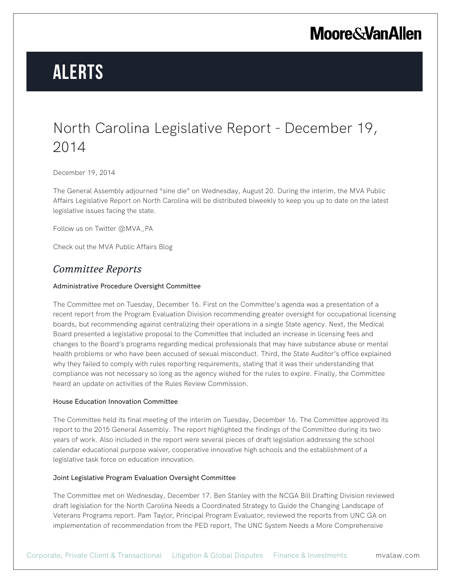## **Moore & Van Allen**

# **Alerts**

## North Carolina Legislative Report - December 19, 2014

December 19, 2014

The General Assembly adjourned "sine die" on Wednesday, August 20. During the interim, the MVA Public Affairs Legislative Report on North Carolina will be distributed biweekly to keep you up to date on the latest legislative issues facing the state.

Follow us on Twitter @MVA\_PA

Check out the MVA Public Affairs Blog

## *Committee Reports*

### Administrative Procedure Oversight Committee

The Committee met on Tuesday, December 16. First on the Committee's agenda was a presentation of a recent report from the Program Evaluation Division recommending greater oversight for occupational licensing boards, but recommending against centralizing their operations in a single State agency. Next, the Medical Board presented a legislative proposal to the Committee that included an increase in licensing fees and changes to the Board's programs regarding medical professionals that may have substance abuse or mental health problems or who have been accused of sexual misconduct. Third, the State Auditor's office explained why they failed to comply with rules reporting requirements, stating that it was their understanding that compliance was not necessary so long as the agency wished for the rules to expire. Finally, the Committee heard an update on activities of the Rules Review Commission.

#### House Education Innovation Committee

The Committee held its final meeting of the interim on Tuesday, December 16. The Committee approved its report to the 2015 General Assembly. The report highlighted the findings of the Committee during its two years of work. Also included in the report were several pieces of draft legislation addressing the school calendar educational purpose waiver, cooperative innovative high schools and the establishment of a legislative task force on education innovation.

#### Joint Legislative Program Evaluation Oversight Committee

The Committee met on Wednesday, December 17. Ben Stanley with the NCGA Bill Drafting Division reviewed draft legislation for the North Carolina Needs a Coordinated Strategy to Guide the Changing Landscape of Veterans Programs report. Pam Taylor, Principal Program Evaluator, reviewed the reports from UNC GA on implementation of recommendation from the PED report, The UNC System Needs a More Comprehensive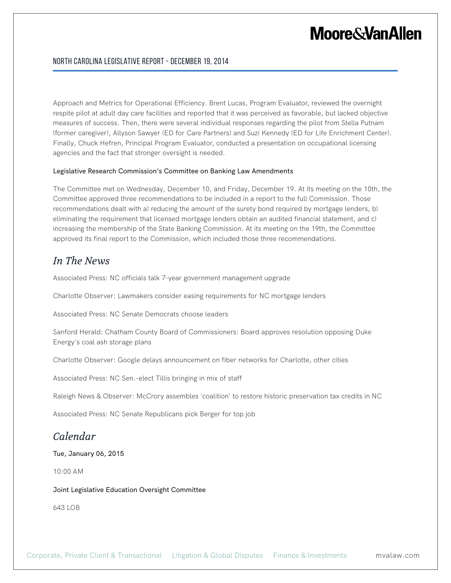## **Moore&VanAllen**

### North Carolina Legislative Report - December 19, 2014

Approach and Metrics for Operational Efficiency. Brent Lucas, Program Evaluator, reviewed the overnight respite pilot at adult day care facilities and reported that it was perceived as favorable, but lacked objective measures of success. Then, there were several individual responses regarding the pilot from Stella Putnam (former caregiver), Allyson Sawyer (ED for Care Partners) and Suzi Kennedy (ED for Life Enrichment Center). Finally, Chuck Hefren, Principal Program Evaluator, conducted a presentation on occupational licensing agencies and the fact that stronger oversight is needed.

#### Legislative Research Commission's Committee on Banking Law Amendments

The Committee met on Wednesday, December 10, and Friday, December 19. At its meeting on the 10th, the Committee approved three recommendations to be included in a report to the full Commission. Those recommendations dealt with a) reducing the amount of the surety bond required by mortgage lenders, b) eliminating the requirement that licensed mortgage lenders obtain an audited financial statement, and c) increasing the membership of the State Banking Commission. At its meeting on the 19th, the Committee approved its final report to the Commission, which included those three recommendations.

## *In The News*

Associated Press: NC officials talk 7-year government management upgrade

Charlotte Observer: Lawmakers consider easing requirements for NC mortgage lenders

Associated Press: NC Senate Democrats choose leaders

Sanford Herald: Chatham County Board of Commissioners: Board approves resolution opposing Duke Energy's coal ash storage plans

Charlotte Observer: Google delays announcement on fiber networks for Charlotte, other cities

Associated Press: NC Sen.-elect Tillis bringing in mix of staff

Raleigh News & Observer: McCrory assembles 'coalition' to restore historic preservation tax credits in NC

Associated Press: NC Senate Republicans pick Berger for top job

## *Calendar*

Tue, January 06, 2015

10:00 AM

Joint Legislative Education Oversight Committee

643 LOB